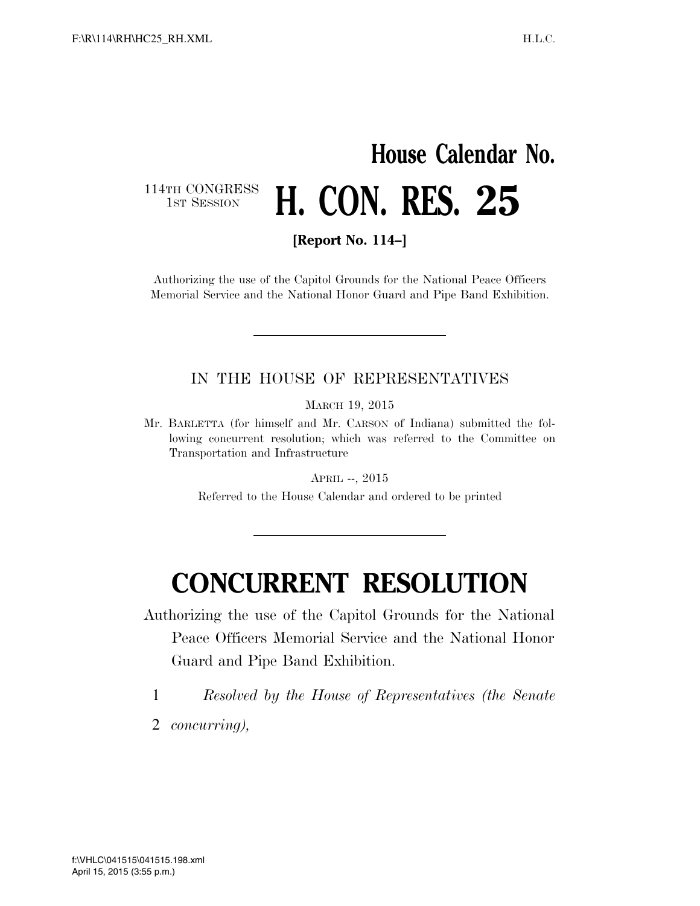# **House Calendar No.**  114TH CONGRESS<br>1st Session **H. CON. RES. 25**

**[Report No. 114–]** 

Authorizing the use of the Capitol Grounds for the National Peace Officers Memorial Service and the National Honor Guard and Pipe Band Exhibition.

### IN THE HOUSE OF REPRESENTATIVES

MARCH 19, 2015

Mr. BARLETTA (for himself and Mr. CARSON of Indiana) submitted the following concurrent resolution; which was referred to the Committee on Transportation and Infrastructure

APRIL --, 2015

Referred to the House Calendar and ordered to be printed

# **CONCURRENT RESOLUTION**

Authorizing the use of the Capitol Grounds for the National

Peace Officers Memorial Service and the National Honor Guard and Pipe Band Exhibition.

1 *Resolved by the House of Representatives (the Senate* 

2 *concurring),*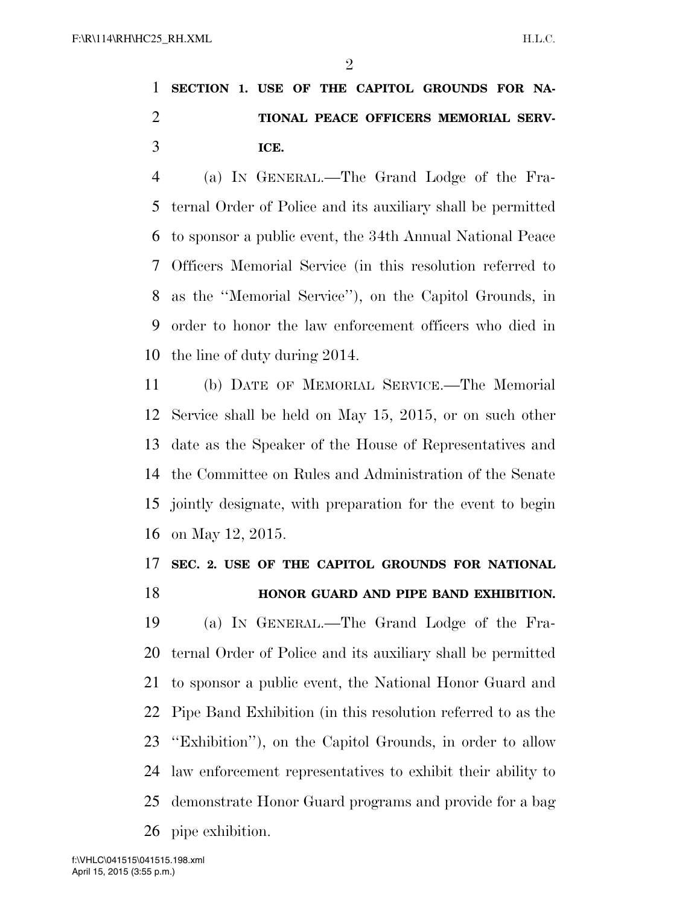## **SECTION 1. USE OF THE CAPITOL GROUNDS FOR NA- TIONAL PEACE OFFICERS MEMORIAL SERV-ICE.**

 (a) IN GENERAL.—The Grand Lodge of the Fra- ternal Order of Police and its auxiliary shall be permitted to sponsor a public event, the 34th Annual National Peace Officers Memorial Service (in this resolution referred to as the ''Memorial Service''), on the Capitol Grounds, in order to honor the law enforcement officers who died in the line of duty during 2014.

 (b) DATE OF MEMORIAL SERVICE.—The Memorial Service shall be held on May 15, 2015, or on such other date as the Speaker of the House of Representatives and the Committee on Rules and Administration of the Senate jointly designate, with preparation for the event to begin on May 12, 2015.

### **SEC. 2. USE OF THE CAPITOL GROUNDS FOR NATIONAL HONOR GUARD AND PIPE BAND EXHIBITION.**

 (a) IN GENERAL.—The Grand Lodge of the Fra- ternal Order of Police and its auxiliary shall be permitted to sponsor a public event, the National Honor Guard and Pipe Band Exhibition (in this resolution referred to as the ''Exhibition''), on the Capitol Grounds, in order to allow law enforcement representatives to exhibit their ability to demonstrate Honor Guard programs and provide for a bag pipe exhibition.

April 15, 2015 (3:55 p.m.) f:\VHLC\041515\041515.198.xml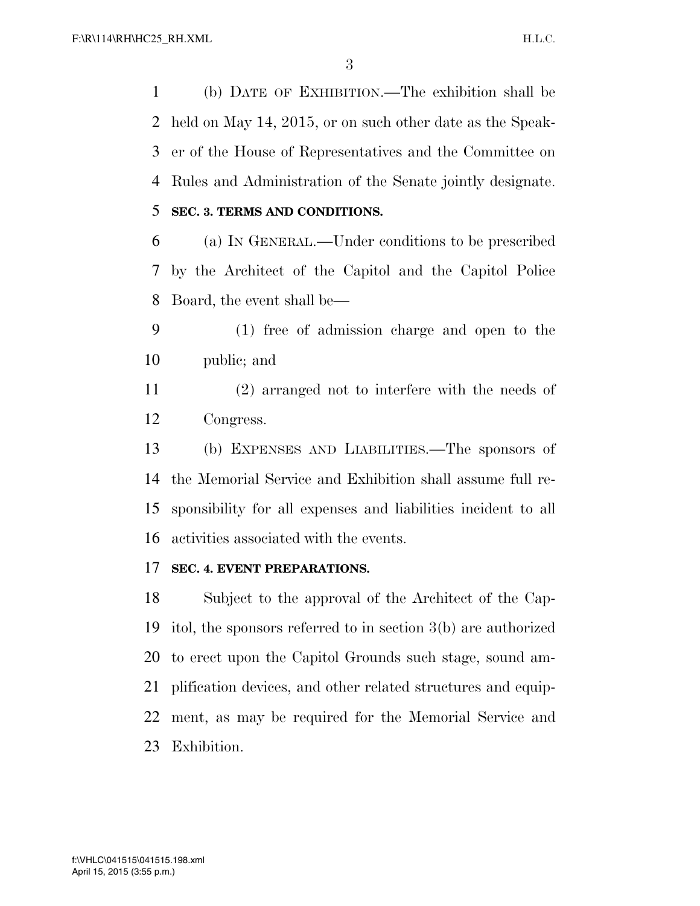(b) DATE OF EXHIBITION.—The exhibition shall be held on May 14, 2015, or on such other date as the Speak- er of the House of Representatives and the Committee on Rules and Administration of the Senate jointly designate.

**SEC. 3. TERMS AND CONDITIONS.** 

 (a) IN GENERAL.—Under conditions to be prescribed by the Architect of the Capitol and the Capitol Police Board, the event shall be—

- (1) free of admission charge and open to the public; and
- (2) arranged not to interfere with the needs of Congress.

 (b) EXPENSES AND LIABILITIES.—The sponsors of the Memorial Service and Exhibition shall assume full re- sponsibility for all expenses and liabilities incident to all activities associated with the events.

### **SEC. 4. EVENT PREPARATIONS.**

 Subject to the approval of the Architect of the Cap- itol, the sponsors referred to in section 3(b) are authorized to erect upon the Capitol Grounds such stage, sound am- plification devices, and other related structures and equip- ment, as may be required for the Memorial Service and Exhibition.